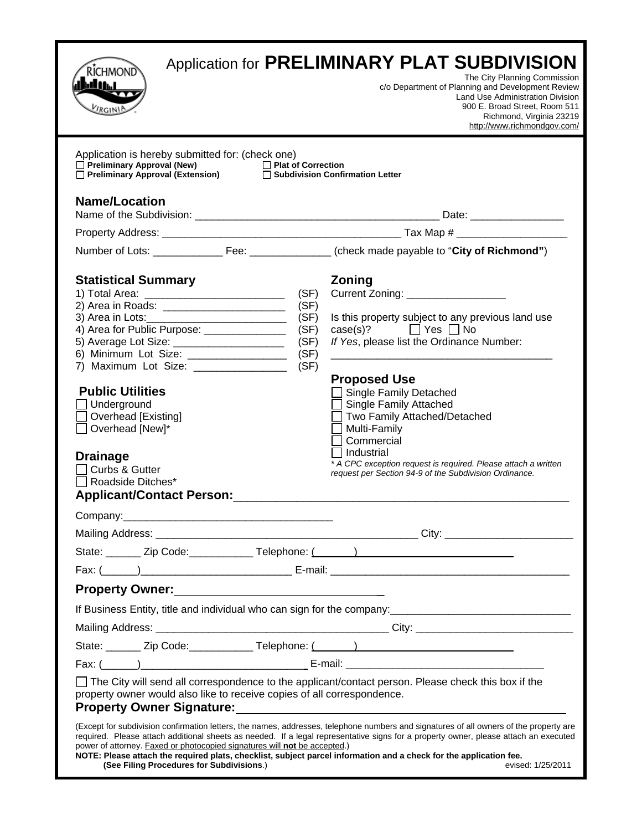| <b>RICHMOND</b><br>ے وال<br>RGIN <sup>1</sup>                                                                                                                                         | Application for PRELIMINARY PLAT SUBDIVISION<br>The City Planning Commission<br>c/o Department of Planning and Development Review<br>Land Use Administration Division<br>900 E. Broad Street, Room 511<br>Richmond, Virginia 23219<br>http://www.richmondgov.com/                                                                                                                                                         |
|---------------------------------------------------------------------------------------------------------------------------------------------------------------------------------------|---------------------------------------------------------------------------------------------------------------------------------------------------------------------------------------------------------------------------------------------------------------------------------------------------------------------------------------------------------------------------------------------------------------------------|
| Application is hereby submitted for: (check one)                                                                                                                                      |                                                                                                                                                                                                                                                                                                                                                                                                                           |
| <b>Name/Location</b>                                                                                                                                                                  |                                                                                                                                                                                                                                                                                                                                                                                                                           |
|                                                                                                                                                                                       |                                                                                                                                                                                                                                                                                                                                                                                                                           |
|                                                                                                                                                                                       |                                                                                                                                                                                                                                                                                                                                                                                                                           |
|                                                                                                                                                                                       |                                                                                                                                                                                                                                                                                                                                                                                                                           |
| <b>Statistical Summary</b><br>2) Area in Roads: _________________________<br>4) Area for Public Purpose: _______________                                                              | Zoning<br>Current Zoning: ____________________<br>(SF)<br>(SF)<br>(SF)<br>Is this property subject to any previous land use<br>$\text{case}(s)?$ $\Box$ Yes $\Box$ No<br>(SF)                                                                                                                                                                                                                                             |
| 5) Average Lot Size: _______________________                                                                                                                                          | (SF)<br>If Yes, please list the Ordinance Number:                                                                                                                                                                                                                                                                                                                                                                         |
| 6) Minimum Lot Size: ___________________<br>7) Maximum Lot Size: 2000 Maximum Lot Size:                                                                                               | (SF)<br>(SF)                                                                                                                                                                                                                                                                                                                                                                                                              |
| <b>Public Utilities</b><br>$\Box$ Underground<br>Overhead [Existing]<br>Overhead [New]*<br><b>Drainage</b><br>Curbs & Gutter<br>Roadside Ditches*<br><b>Applicant/Contact Person:</b> | <b>Proposed Use</b><br><b>Single Family Detached</b><br><b>Single Family Attached</b><br>Two Family Attached/Detached<br>Multi-Family<br>Commercial<br>Industrial<br>* A CPC exception request is required. Please attach a written<br>request per Section 94-9 of the Subdivision Ordinance.                                                                                                                             |
| Company:                                                                                                                                                                              |                                                                                                                                                                                                                                                                                                                                                                                                                           |
|                                                                                                                                                                                       |                                                                                                                                                                                                                                                                                                                                                                                                                           |
|                                                                                                                                                                                       | State: _______ Zip Code: _____________ Telephone: (______) ______________________                                                                                                                                                                                                                                                                                                                                         |
|                                                                                                                                                                                       |                                                                                                                                                                                                                                                                                                                                                                                                                           |
|                                                                                                                                                                                       |                                                                                                                                                                                                                                                                                                                                                                                                                           |
|                                                                                                                                                                                       |                                                                                                                                                                                                                                                                                                                                                                                                                           |
|                                                                                                                                                                                       |                                                                                                                                                                                                                                                                                                                                                                                                                           |
|                                                                                                                                                                                       | State: _______ Zip Code: _____________ Telephone: (______) ______________________                                                                                                                                                                                                                                                                                                                                         |
|                                                                                                                                                                                       |                                                                                                                                                                                                                                                                                                                                                                                                                           |
|                                                                                                                                                                                       | $\Box$ The City will send all correspondence to the applicant/contact person. Please check this box if the<br>property owner would also like to receive copies of all correspondence.<br>Property Owner Signature: Manual According to the Contract of the Contract of the Contract of the Contract of T                                                                                                                  |
| power of attorney. Faxed or photocopied signatures will not be accepted.)<br>(See Filing Procedures for Subdivisions.)                                                                | (Except for subdivision confirmation letters, the names, addresses, telephone numbers and signatures of all owners of the property are<br>required. Please attach additional sheets as needed. If a legal representative signs for a property owner, please attach an executed<br>NOTE: Please attach the required plats, checklist, subject parcel information and a check for the application fee.<br>evised: 1/25/2011 |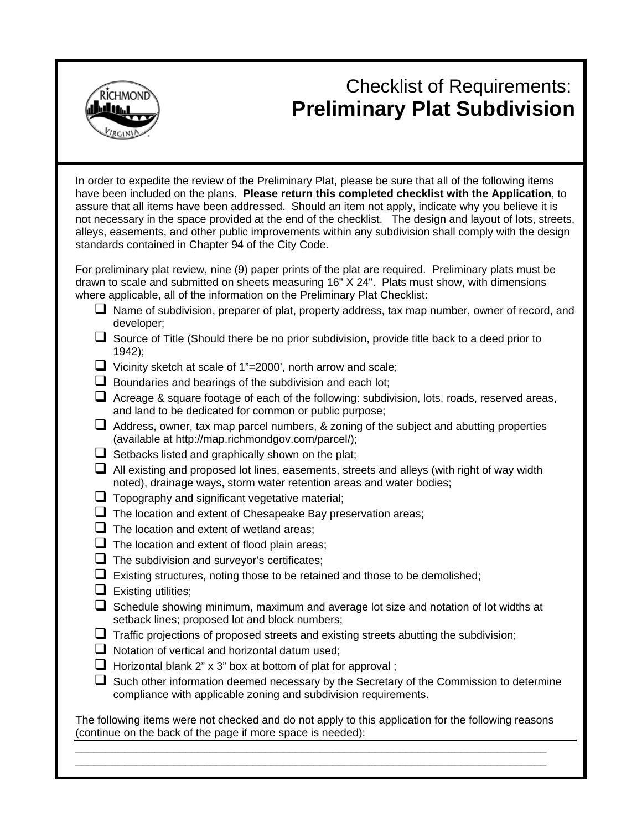

# Checklist of Requirements: **Preliminary Plat Subdivision**

In order to expedite the review of the Preliminary Plat, please be sure that all of the following items have been included on the plans. **Please return this completed checklist with the Application**, to assure that all items have been addressed. Should an item not apply, indicate why you believe it is not necessary in the space provided at the end of the checklist. The design and layout of lots, streets, alleys, easements, and other public improvements within any subdivision shall comply with the design standards contained in Chapter 94 of the City Code.

For preliminary plat review, nine (9) paper prints of the plat are required. Preliminary plats must be drawn to scale and submitted on sheets measuring 16" X 24". Plats must show, with dimensions where applicable, all of the information on the Preliminary Plat Checklist:

- Name of subdivision, preparer of plat, property address, tax map number, owner of record, and developer;
- $\Box$  Source of Title (Should there be no prior subdivision, provide title back to a deed prior to 1942);
- $\Box$  Vicinity sketch at scale of 1"=2000', north arrow and scale;
- $\Box$  Boundaries and bearings of the subdivision and each lot;
- $\Box$  Acreage & square footage of each of the following: subdivision, lots, roads, reserved areas, and land to be dedicated for common or public purpose;
- $\Box$  Address, owner, tax map parcel numbers, & zoning of the subject and abutting properties (available at http://map.richmondgov.com/parcel/);
- $\Box$  Setbacks listed and graphically shown on the plat;
- $\Box$  All existing and proposed lot lines, easements, streets and alleys (with right of way width noted), drainage ways, storm water retention areas and water bodies;
- $\Box$  Topography and significant vegetative material;
- $\Box$  The location and extent of Chesapeake Bay preservation areas;
- $\Box$  The location and extent of wetland areas;
- $\Box$  The location and extent of flood plain areas;
- $\Box$  The subdivision and surveyor's certificates;
- $\Box$  Existing structures, noting those to be retained and those to be demolished;
- $\Box$  Existing utilities;
- $\Box$  Schedule showing minimum, maximum and average lot size and notation of lot widths at setback lines; proposed lot and block numbers;
- $\Box$  Traffic projections of proposed streets and existing streets abutting the subdivision;
- $\Box$  Notation of vertical and horizontal datum used;
- $\Box$  Horizontal blank 2" x 3" box at bottom of plat for approval;
- $\square$  Such other information deemed necessary by the Secretary of the Commission to determine compliance with applicable zoning and subdivision requirements.

The following items were not checked and do not apply to this application for the following reasons (continue on the back of the page if more space is needed):

\_\_\_\_\_\_\_\_\_\_\_\_\_\_\_\_\_\_\_\_\_\_\_\_\_\_\_\_\_\_\_\_\_\_\_\_\_\_\_\_\_\_\_\_\_\_\_\_\_\_\_\_\_\_\_\_\_\_\_\_\_\_\_\_\_\_\_\_\_\_\_\_\_\_\_\_\_ \_\_\_\_\_\_\_\_\_\_\_\_\_\_\_\_\_\_\_\_\_\_\_\_\_\_\_\_\_\_\_\_\_\_\_\_\_\_\_\_\_\_\_\_\_\_\_\_\_\_\_\_\_\_\_\_\_\_\_\_\_\_\_\_\_\_\_\_\_\_\_\_\_\_\_\_\_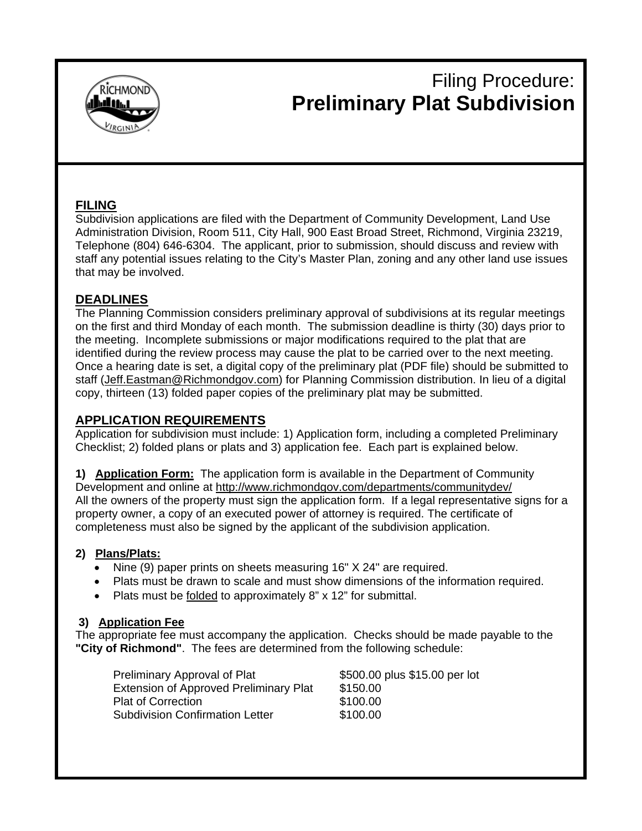

# Filing Procedure: **Preliminary Plat Subdivision**

## **FILING**

Subdivision applications are filed with the Department of Community Development, Land Use Administration Division, Room 511, City Hall, 900 East Broad Street, Richmond, Virginia 23219, Telephone (804) 646-6304. The applicant, prior to submission, should discuss and review with staff any potential issues relating to the City's Master Plan, zoning and any other land use issues that may be involved.

## **DEADLINES**

The Planning Commission considers preliminary approval of subdivisions at its regular meetings on the first and third Monday of each month. The submission deadline is thirty (30) days prior to the meeting. Incomplete submissions or major modifications required to the plat that are identified during the review process may cause the plat to be carried over to the next meeting. Once a hearing date is set, a digital copy of the preliminary plat (PDF file) should be submitted to staff (Jeff.Eastman@Richmondgov.com) for Planning Commission distribution. In lieu of a digital copy, thirteen (13) folded paper copies of the preliminary plat may be submitted.

## **APPLICATION REQUIREMENTS**

Application for subdivision must include: 1) Application form, including a completed Preliminary Checklist; 2) folded plans or plats and 3) application fee. Each part is explained below.

**1) Application Form:** The application form is available in the Department of Community Development and online at http://www.richmondgov.com/departments/communitydev/ All the owners of the property must sign the application form. If a legal representative signs for a property owner, a copy of an executed power of attorney is required. The certificate of completeness must also be signed by the applicant of the subdivision application.

## **2) Plans/Plats:**

- Nine (9) paper prints on sheets measuring 16" X 24" are required.
- Plats must be drawn to scale and must show dimensions of the information required.
- Plats must be folded to approximately 8" x 12" for submittal.

## **3) Application Fee**

The appropriate fee must accompany the application. Checks should be made payable to the **"City of Richmond"**. The fees are determined from the following schedule:

| Preliminary Approval of Plat                  | \$500.00 plus \$15.00 per lot |  |  |  |
|-----------------------------------------------|-------------------------------|--|--|--|
| <b>Extension of Approved Preliminary Plat</b> | \$150.00                      |  |  |  |
| <b>Plat of Correction</b>                     | \$100.00                      |  |  |  |
| <b>Subdivision Confirmation Letter</b>        | \$100.00                      |  |  |  |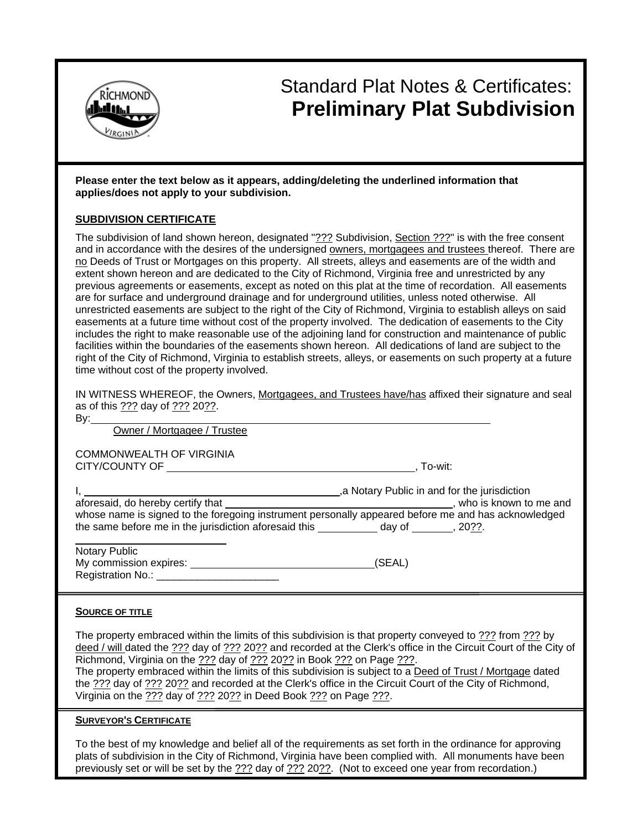

# Standard Plat Notes & Certificates: **Preliminary Plat Subdivision**

**Please enter the text below as it appears, adding/deleting the underlined information that applies/does not apply to your subdivision.** 

#### **SUBDIVISION CERTIFICATE**

The subdivision of land shown hereon, designated "??? Subdivision, Section ???" is with the free consent and in accordance with the desires of the undersigned owners, mortgagees and trustees thereof. There are no Deeds of Trust or Mortgages on this property. All streets, alleys and easements are of the width and extent shown hereon and are dedicated to the City of Richmond, Virginia free and unrestricted by any previous agreements or easements, except as noted on this plat at the time of recordation. All easements are for surface and underground drainage and for underground utilities, unless noted otherwise. All unrestricted easements are subject to the right of the City of Richmond, Virginia to establish alleys on said easements at a future time without cost of the property involved. The dedication of easements to the City includes the right to make reasonable use of the adjoining land for construction and maintenance of public facilities within the boundaries of the easements shown hereon. All dedications of land are subject to the right of the City of Richmond, Virginia to establish streets, alleys, or easements on such property at a future time without cost of the property involved.

| IN WITNESS WHEREOF, the Owners, Mortgagees, and Trustees have/has affixed their signature and seal |  |  |  |
|----------------------------------------------------------------------------------------------------|--|--|--|
| as of this ??? day of ??? 20??.                                                                    |  |  |  |

| - 1<br>- |  |
|----------|--|
| I<br>۰.  |  |

Owner / Mortgagee / Trustee

COMMONWEALTH OF VIRGINIA CITY/COUNTY OF , To-wit:

I, 1. All 2008 (1999) 1. All 2009 (1999) 1. All 2009 (1999) 1. All 2009 (1999) 1. All 2009 (1999) 1. All 2009 (1999) 1. All 2009 (1999) 1. All 2009 (1999) 1. All 2009 (1999) 1. All 2009 (1999) 1. All 2009 (1999) 1. All 200

aforesaid, do hereby certify that **the contract of the contract of the contract of the contract of the contract of the contract of the contract of the contract of the contract of the contract of the contract of the contrac** whose name is signed to the foregoing instrument personally appeared before me and has acknowledged the same before me in the jurisdiction aforesaid this  $\qquad \qquad$  day of  $\qquad \qquad$ , 20??.

 $\overline{a}$ Notary Public My commission expires: (SEAL) Registration No.: \_\_\_\_\_\_\_\_\_\_\_\_\_\_\_\_\_\_\_\_\_

#### **SOURCE OF TITLE**

The property embraced within the limits of this subdivision is that property conveyed to ??? from ??? by deed / will dated the ??? day of ??? 20?? and recorded at the Clerk's office in the Circuit Court of the City of Richmond, Virginia on the ??? day of ??? 20?? in Book ??? on Page ???. The property embraced within the limits of this subdivision is subject to a Deed of Trust / Mortgage dated the ??? day of ??? 20?? and recorded at the Clerk's office in the Circuit Court of the City of Richmond, Virginia on the ??? day of ??? 20?? in Deed Book ??? on Page ???.

#### **SURVEYOR'S CERTIFICATE**

To the best of my knowledge and belief all of the requirements as set forth in the ordinance for approving plats of subdivision in the City of Richmond, Virginia have been complied with. All monuments have been previously set or will be set by the ??? day of ??? 20??. (Not to exceed one year from recordation.)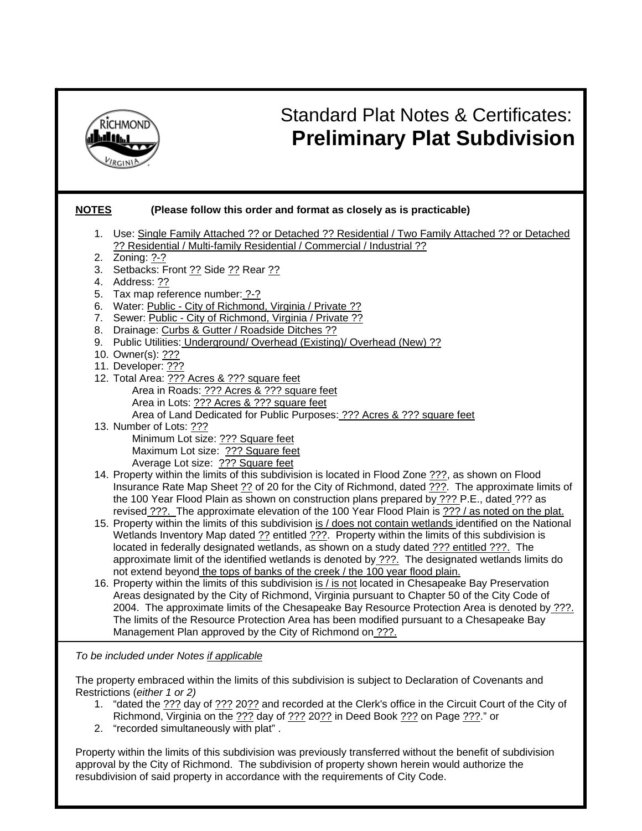

The property embraced within the limits of this subdivision is subject to Declaration of Covenants and Restrictions (*either 1 or 2)* 

- 1. "dated the  $\frac{222}{12}$  day of  $\frac{222}{12}$  and recorded at the Clerk's office in the Circuit Court of the City of Richmond, Virginia on the ??? day of ??? 20?? in Deed Book ??? on Page ???." or
- 2. "recorded simultaneously with plat" .

Property within the limits of this subdivision was previously transferred without the benefit of subdivision approval by the City of Richmond. The subdivision of property shown herein would authorize the resubdivision of said property in accordance with the requirements of City Code.